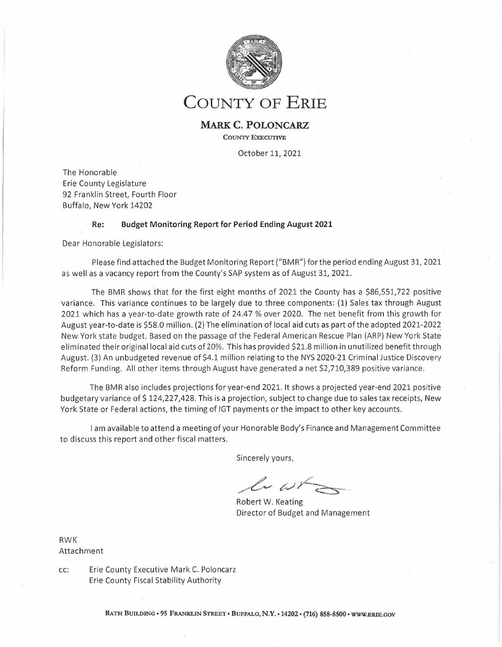

**COUNTY OF ERIE**

## **MARK C. POLONCARZ**

**COUNTY EXECUTIVE**

October 11, 2021

The Honorable Erie County Legislature 92 Franklin Street, Fourth Floor Buffalo, New York 14202

## **Re: Budget Monitoring Report for Period Ending August 2021**

Dear Honorable Legislators:

Please find attached the Budget Monitoring Report ("BMR") forthe period ending August 31, <sup>2021</sup> as well as <sup>a</sup> vacancy report from the County's SAP system as of August 31, 2021.

The BMR shows that for the first eight months of 2021 the County has a \$86,551,722 positive variance. This variance continues to be largely due to three components: (1) Sales tax through August 2021 which has <sup>a</sup> year-to-date growth rate of 24.47 % over 2020. The net benefit from this growth for August year-to-date is \$58.0 million. (2) The elimination of local aid cuts as part of the adopted 2021-2022 New York state budget. Based on the passage of the Federal American. Rescue Plan (ARP) New York State eliminated their original local aid cuts of 20%. This has provided \$21.8 million in unutilized benefit through August. (3) An unbudgeted revenue of \$4.1 million relating to the NYS 2020-21 Criminal Justice Discovery Reform Funding. All other items through August have generated <sup>a</sup> net \$2,710,389 positive variance.

The BMR also includes projections for year-end 2021. It shows <sup>a</sup> projected year-end 2021 positive budgetary variance of \$ 124,227,428. This is <sup>a</sup> projection, subject to change due to sales tax receipts, New York State or Federal actions, the timing of IGT payments or the impact to other key accounts.

<sup>l</sup> am available to attend <sup>a</sup> meeting of your Honorable Body's Finance and Management Committee to discuss this report and other fiscal matters.

Sincerely yours,

urs,<br>*b*ightarrow eating

Robert W. Keating Director of Budget and Management

RWK Attachment

cc: Erie County Executive Mark C. Poloncarz Erie County Fiscal Stability Authority

**RATH BUILDING • <sup>95</sup> FRANKLIN STREET • BUFFALO,** *N.Y. •* **14202•(716) 858-8500 • WWW.ERIE.GOV**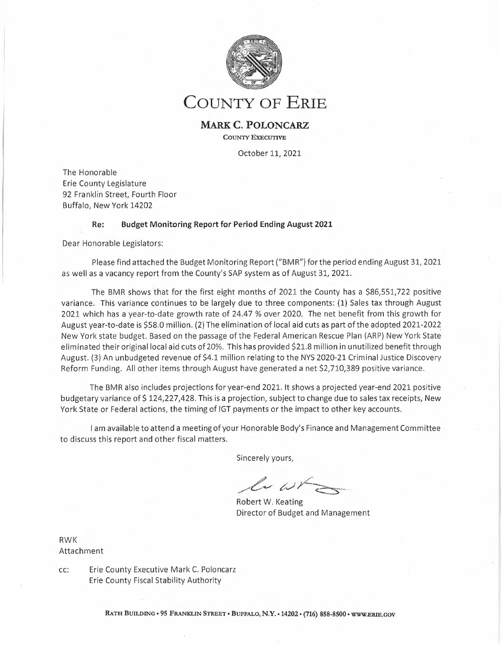| <b>Account Type</b> |                                  | <b>Annual Budget</b> | Period Budget<br>January-August | Actuals<br>January-<br>August | Period<br>Available<br><b>Budget</b> | % of Period<br>Budget<br>Consumed | Year End 2021<br>Projections | <b>Projected Year End</b><br>Variance<br>Save/(Cost) | Projected % of<br>Annual<br>Budget<br>Consumed |
|---------------------|----------------------------------|----------------------|---------------------------------|-------------------------------|--------------------------------------|-----------------------------------|------------------------------|------------------------------------------------------|------------------------------------------------|
|                     | Revenue                          |                      |                                 |                               |                                      |                                   |                              |                                                      |                                                |
| $**$                | Property Tax                     | (286, 178, 342)      | (286.178.342)                   | (286.178.342)                 | 0                                    | 100.00%                           | (286, 178, 342)              | $\Omega$                                             | 100.00%                                        |
| $**$                | <b>Property Tax Related</b>      | (14, 303, 669)       | (6, 515, 904)                   | (6, 199, 187)                 | (316, 717)                           | 95.14%                            | (15,869,510)                 | 1,565,841                                            | 110.95%                                        |
| $**$                | Sales Tax                        | (457, 552, 159)      | (303, 255, 149)                 | (363, 914, 730)               | 60,659,582                           | 120.00%                           | (538, 406, 196)              | 80,854,037                                           | 117.67%                                        |
| $**$                | Sales Tax to Local Govt.         | (316, 149, 457)      | (209, 534, 980)                 | (251, 437, 988)               | 41,903,009                           | 120.00%                           | (372,002,256)                | 55,852,799                                           | 117.67%                                        |
| **                  | <b>Other Sources</b>             | (41, 901, 725)       | (29, 014, 712)                  | (26,668,052)                  | (2,346,660)                          | 91.91%                            | (43, 816, 339)               | 1,914,614                                            | 104.57%                                        |
| $**$                | Fees, Fines or Charges           | (32, 724, 656)       | (24, 390, 558)                  | (26, 736, 369)                | 2,345,811                            | 109.62%                           | (34, 737, 974)               | 2,013,318                                            | 106.15%                                        |
| $**$                | <b>Appropriated Fund Balance</b> | (10,000,000)         | 0                               | $\Omega$                      | 0                                    | 0.00%                             | 0                            | (10,000,000)                                         |                                                |
| ***                 | <b>Local Source Revenue</b>      | (1, 158, 810, 008)   | (858, 889, 644)                 | (961, 134, 669)               | 102,245,025                          | 111.90%                           | (1, 291, 010, 616)           | 132,200,609                                          | 111.41%                                        |
| $***$               | <b>Federal Revenue</b>           | (171, 123, 358)      | (113, 100, 750)                 | (94, 405, 856)                | (18,694,894)                         | 83.47%                            | (138.339.972)                | (32, 783, 386)                                       | 80.84%                                         |
| ***                 | <b>State Revenue</b>             | (189, 683, 148)      | (127, 272, 811)                 | (140, 031, 850)               | 12,759,039                           | 110,03%                           | (197, 194, 143)              | 7.510.995                                            | 103.96%                                        |
| ***                 | <b>Interfund Revenue</b>         | (51, 368, 577)       | (49, 194, 090)                  | (49, 193, 102)                | (988)                                | 100.00%                           | (52, 246, 252)               | 877,675                                              | 101.71%                                        |
| ****                | <b>County Revenue</b>            | (1,570,985,091)      | (1, 148, 457, 296)              | (1, 244, 765, 477)            | 96,308,181                           | 108.39%                           | (1,678,790,983)              | 107,805,892                                          | 106,86%                                        |
|                     | Expense                          |                      |                                 |                               |                                      |                                   |                              |                                                      |                                                |
| $**$                | <b>Salaries</b>                  | 226.653.512          | 138,029,423                     | 132, 145, 494                 | 5,883,929                            | 95.74%                            | 208,983,833                  | 17,669,679                                           | 92.20%                                         |
|                     | Non-Salaries                     | 28,794,772           | 16,249,373                      | 16,625,645                    | (376, 271)                           | 102.32%                           | 27,611,462                   | 1,183,310                                            | 95.89%                                         |
| **                  | <b>Countywide Adjustments</b>    | (1,637,541)          | (1,095,941)                     | $\Omega$                      | (1,095,941)                          | 0.00%                             | 6,000,000                    | (7,637,541)                                          | $-366.40%$                                     |
| ***                 | <b>Personnel Related Expense</b> | 253,810,743          | 153, 182, 855                   | 148,771,139                   | 4,411,716                            | 97.12%                            | 242,595,295                  | 11,215,448                                           | 95.58%                                         |
| ***                 | <b>Fringe Benefit Total</b>      | 130,675,200          | 79,854,879                      | 75,164,698                    | 4,690,181                            | 94.13%                            | 120,685,043                  | 9,990,157                                            | 92.35%                                         |
|                     | <b>Supplies and Repairs</b>      | 11,248,618           | 5,837,108                       | 4,055,208                     | 1,781,901                            | 69.47%                            | 9,061,334                    | 2,187,284                                            | 80.56%                                         |
| $**$                | Other                            | 31,542,283           | 13,863,537                      | 12,303,957                    | 1,559,580                            | 88.75%                            | 26,892,416                   | 4,649,867                                            | 85.26%                                         |
| $**$                | Contractual                      | 524,589,413          | 348,998,575                     | 390,030,953                   | (41,032,378)                         | 111.76%                           | 575,672,591                  | (51,083,178)                                         | 109.74%                                        |
| $**$                | Equipment                        | 4,212,798            | 1,533,987                       | 1,307,507                     | 226,479                              | 85.24%                            | 2,852,338                    | 1,360,461                                            | 67.71%                                         |
| $**$                | Allocations                      | 117,453,154          | 82,807,964                      | 83, 153, 295                  | (345, 331)                           | 100.42%                           | 104,688,308                  | 12,764,846                                           | 89,13%                                         |
| **                  | Program Specific                 | 455,489,987          | 269,631,443                     | 250,700,071                   | 18,931,372                           | 92.98%                            | 430, 153, 337                | 25,336,650                                           | 94.44%                                         |
|                     | <b>Debt Services</b>             | 52,058,461           | 36,484,472                      | 36,464,451                    | 20,020                               | 99.95%                            | 52,058,460                   | $\overline{1}$                                       | 100.00%                                        |
|                     | All Other Operating Expense      | 1,196,594,715        | 759,157,086                     | 778,015,443                   | (18, 858, 357)                       | 102.48%                           | 1,201,378,785                | (4,784,069)                                          | 100.40%                                        |
| ****                | <b>County Expense</b>            | 1,581,080,658        | 992,194,820                     | 1,001,951,280                 | (9,756,460)                          | 100.98%                           | 1,564,659,122                | 16,421,536                                           | 98.96%                                         |
|                     | ***** Net                        | 10,095,567           | (156, 262, 475)                 | (242, 814, 197)               | 86,551,722                           |                                   | (114, 131, 861)              | 124,227,428                                          |                                                |

## **2021 August Budget Monitoring Report (BMR) with Year End Projections**

#### 2021 Status

| <b>Total Revenue</b>          | 1,678,790,983    |
|-------------------------------|------------------|
| <b>Total Expenditures</b>     | $-1,564,659,122$ |
| Net                           | 114, 131, 861    |
| Adjustments:                  |                  |
| Add Appropriation from 2020   | 10.095.567       |
| Net Projected YE 2021 Balance | 124,227,428      |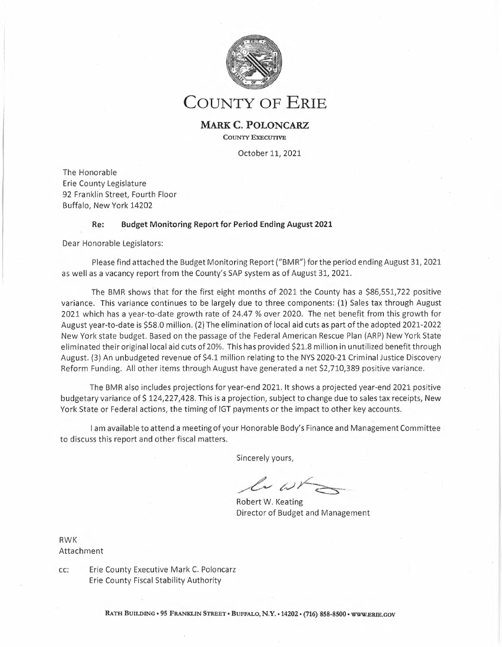| <b>Account Type</b>                             | <b>Annual Budget</b> | <b>Period Budget</b><br>January-<br>August | <b>Actuals</b><br>January-<br>August | Period<br>Available<br><b>Budget</b> | % of Period<br><b>Budget</b><br>Consumed | Annual<br>Available<br><b>Budget</b> | % of Annual<br><b>Budget</b><br>Consumed |
|-------------------------------------------------|----------------------|--------------------------------------------|--------------------------------------|--------------------------------------|------------------------------------------|--------------------------------------|------------------------------------------|
| Revenue                                         |                      |                                            |                                      |                                      |                                          |                                      |                                          |
| **<br><b>Property Tax</b>                       | 286,178,342-         | 286,178,342-                               | 286,178,342-                         | 0                                    | 100%                                     | 0                                    | 100%                                     |
| $**$<br><b>Property Tax Related</b>             | 14,303,669-          | 6,515,904-                                 | 6,199,187-                           | 316,717-                             | 95%                                      | 8,104,482-                           | 43%                                      |
| $**$<br><b>Sales Tax</b>                        | 457,552,159-         | 303,255,149-                               | 363,914,730-                         | 60,659,582                           | 120%                                     | 93,637,429-                          | 80%                                      |
| $**$<br>Sales Tax to Local Govt.                | 316,149,457-         | 209,534,980-                               | 251,437,988-                         | 41,903,009                           | 120%                                     | 64,711,469-                          | 80%                                      |
| $**$<br><b>Other Sources</b>                    | 41,901,725-          | 29,014,712-                                | 26,668,052-                          | 2,346,660-                           | 92%                                      | 15,233,673-                          | 64%                                      |
| $\star\star$<br><b>Fees, Fines or Charges</b>   | 32,724,656-          | 24,390;558-                                | 26,736,369-                          | 2,345,811                            | 110%                                     | 5,988,287-                           | 82%                                      |
| $**$<br><b>Appropriated Fund Balance</b>        | 10,000,000-          |                                            |                                      |                                      | 0%                                       | 10,000,000-                          | 0%                                       |
| $\overline{***}$<br><b>Local Source Revenue</b> | 1,158,810,008-       | 858,889,644-                               | 961,134,669-                         | 102,245,025                          | 112%                                     | 197,675,339-                         | 83%                                      |
| $***$<br><b>Federal Revenue</b>                 | 171,123,358-         | 113,100,750-                               | 94,405,856-                          | 18,694,894-                          | 83%                                      | 76,717,502-                          | 55%                                      |
| $***$<br><b>State Revenue</b>                   | 189,683,148-         | 127,272,811-                               | 140,031,850-                         | 12,759,039                           | 110%                                     | 49,651,298-                          | 74%                                      |
| $***$<br><b>Interfund Revenue</b>               | 51,368,577-          | 49,194,090-                                | 49,193,102-                          | 988-                                 | 100%                                     | 2,175,475-                           | 96%                                      |
| ****<br><b>County Revenue</b>                   | 1,570,985,091        | 1,148,457,296                              | 1,244,765,477-                       | 96,308,181                           | 108%                                     | 326,219,614-                         | 79%                                      |
| <b>Expense</b>                                  |                      |                                            |                                      |                                      |                                          |                                      |                                          |
| $**$<br><b>Salaries</b>                         | 226,653,512          | 138,029,423                                | 132,145,494                          | 5,883,929                            | 96%                                      | 94,508,018                           | 58%                                      |
| **<br><b>Non-Salaries</b>                       | 28,794,772           | 16,249,373                                 | 16,625,645                           | 376,271-                             | 102%                                     | 12,169,127                           | 58%                                      |
| $**$<br><b>Countywide Adjustments</b>           | 1,637,541-           | 1,095,941-                                 |                                      | 1,095,941-                           | 0%                                       | 1,637,541-                           | 0%                                       |
| ***<br><b>Personnel Related Expense</b>         | 253,810,743          | 153,182,855                                | 148,771,139                          | 4,411,716                            | 97%                                      | 105,039,605                          | 59%                                      |
| ***<br><b>Fringe Benefit Total</b>              | 130,675,200          | 79,854,879                                 | 75,164,698                           | 4,690,181                            | 94%                                      | 55,510,502                           | 58%                                      |
| 1∗*<br><b>Supplies and Repairs</b>              | 11,248,618           | 5,837,108                                  | 4,055,208                            | 1,781,901                            | 69%                                      | 7,193,410                            | 36%                                      |
| **<br>Other                                     | 31,542,283           | 13,863,537                                 | 12,303,957                           | 1,559,580                            | 89%                                      | 19,238,326                           | 39%                                      |
| **<br>Contractual                               | 524,589,413          | 348,998,575                                | 390,030,953                          | 41,032,378-                          | 112%                                     | 134,558,460                          | 74%                                      |
| **<br>Equipment                                 | 4,212,798            | 1,533,987                                  | 1,307,507                            | 226,479                              | 85%                                      | 2,905,291                            | 31%                                      |
| **<br><b>Allocations</b>                        | 117,453,154          | 82,807,964                                 | 83,153,295                           | 345,331-                             | 100%                                     | 34,299,859                           | 71%                                      |
| $**$<br><b>Program Specific</b>                 | 455,489,987          | 269,631,443                                | 250,700,071                          | 18,931,372                           | 93%                                      | 204,789,916                          | 55%                                      |
| $\star\star$<br><b>Debt Services</b>            | 52,058,461           | 36,484,472                                 | 36,464,451                           | 20,020                               | 100%                                     | 15,594,010                           | 70%                                      |
| $***$<br><b>All Other Operating Expense</b>     | 1,196,594,715        | 759,157,086                                | 778,015,443                          | 18,858,357-                          | 102%                                     | 418,579,272                          | 65%                                      |
| ****<br><b>County Expense</b>                   | 1,581,080,658        | 992,194,820                                | 1,001,951,280                        | 9,756,460-                           | 101%                                     | 579,129,378                          | 63%                                      |
| ***** Net                                       | 10,095,567           | 156,262,475-                               | 242,814,197-                         | 86,551,722                           |                                          | 252,909,765                          |                                          |

# **January-August 2021 Budget Monitoring Report (BMR)**

### **Note on the BMR:**

The BMR helps the Budget Office identify, understand and resolve financial issues that may emerge during the year. The positive period variance indicated should not be interpreted as <sup>a</sup> projection of a year-end positive balance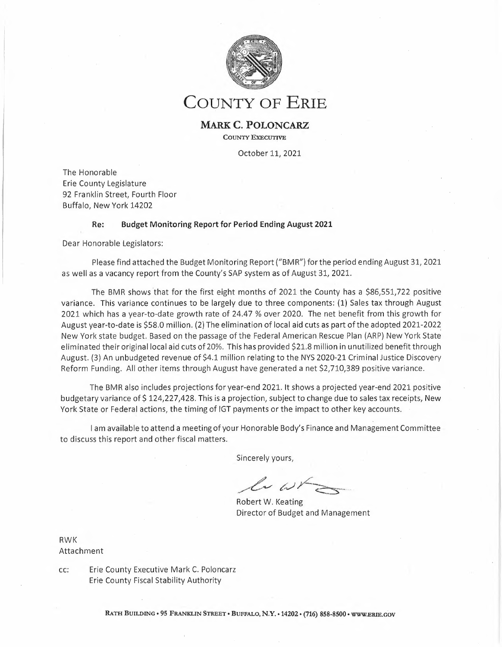| <b>Account Type</b>                                     | Annual Budget               | Period Budget<br>January-August | Actuals<br>January-August | Period<br>Avallable<br><b>Budget</b> | % of Period<br><b>Budget</b><br><b>Consumed</b> | Annual<br>Avallable<br>Budget | % of Annual<br><b>Budget</b><br>Consumed | Comments/Key Items                                                                                                                                                                                   |
|---------------------------------------------------------|-----------------------------|---------------------------------|---------------------------|--------------------------------------|-------------------------------------------------|-------------------------------|------------------------------------------|------------------------------------------------------------------------------------------------------------------------------------------------------------------------------------------------------|
|                                                         |                             |                                 |                           |                                      |                                                 |                               |                                          |                                                                                                                                                                                                      |
| Revenue<br>400000 Real Property Taxes                   | (286, 178, 342)             | (286, 178, 342)                 | (286, 178, 342)           | 0                                    | 100.00%                                         | 0                             | 100.00%                                  |                                                                                                                                                                                                      |
| Property Tax                                            | (286, 178, 342)             | (286, 178, 342)                 | (286, 178, 342)           | $\circ$                              | 100.00%                                         | $\mathbf{0}$                  | 100.00%                                  |                                                                                                                                                                                                      |
| 400010 Exemption Removal                                | (876, 148)                  | (876, 148)                      | (1,077,342)               | 201,194                              | 122,96%                                         | 201,194                       | 122.96%                                  |                                                                                                                                                                                                      |
| 400030 Gn/Sale-Tax Acq Prop                             | (7,000)                     | (2, 917)                        | 0                         | (2, 917)                             | 0.00%                                           | (7,000)                       | 0.00%                                    |                                                                                                                                                                                                      |
| 400040 Other Pay/Lieu-Tax                               | (5, 140, 000)               | (5,056,667)                     | (4,527,059)               | (529, 608)                           | 89,53%                                          | (612, 942)                    | 88.08%                                   |                                                                                                                                                                                                      |
| 400050 Int&Pen on R P Taxes                             | (12, 733, 993)              | (670, 316)                      | (670, 316)                | $\mathbf 0$                          | 100.00%                                         | (12,063,677)                  | 5.26%                                    |                                                                                                                                                                                                      |
| 400060 Omitted Taxes                                    | (1,780)                     | (1,780)                         | (16, 394)                 | 14,614                               | 920.99%                                         | 14,614                        | 920.99%                                  |                                                                                                                                                                                                      |
| 466060 Prop Tax Rev Adjust                              | 4,455,252                   | 91,923                          | 91,923                    | $\mathbf{0}$                         | 100.00%                                         | 4,363,329                     | 2.06%                                    |                                                                                                                                                                                                      |
| Property Tax Related                                    | (14, 303, 669)              | (6, 515, 904)                   | (6, 199, 187)             | (316, 717)                           | 95.14%                                          | (8, 104, 482)                 | 43.34%                                   |                                                                                                                                                                                                      |
| 402000 Sales Tax EC Purp                                | (172, 531, 111)             | (114, 348, 891)                 | (137, 216, 571)           | 22,867,679                           | 120.00%                                         | (35, 314, 540)                | 79.53%                                   | Sales Tax<br>County Share of Sales Tax is showing a positive                                                                                                                                         |
| 402100 1% Sales Tax-EC Purp                             | (162,893,514)               | (107,960,913)                   | (129, 551, 520)           | 21,590,608                           | 120.00%                                         | (33, 341, 994)                | 79.53%                                   | variance of \$ 60.7 million at the end of August.<br>When netting out the increased cost from sales<br>tax-related payments to the NFTA the County<br>benefit is reduced to \$58.0 million. 2021 YTD |
| 402120 .25% Sales Tax                                   | (40, 709, 178)              | (26,981,781)                    | (32, 382, 213)            | 5,400,432                            | 120.02%                                         | (8,326,965)                   | 79.55%                                   | sales tax growth is 22.77 % over 2020. The Div.<br>of Budget will continue to closely monitor sales<br>tax in order to ascertain the overall impact on<br>the 2021 budget.                           |
| 402130 .5% Sales Tax                                    | (81, 418, 356)              | (53,963,564)                    | (64, 764, 426)            | 10,800,863                           | 120.02%                                         | (16, 653, 930)                | 79.55%                                   |                                                                                                                                                                                                      |
| Sales Tax                                               | (457,552,159)               | (303, 255, 149)                 | (363,914,730)             | 60,659,582                           | 120.00%                                         | (93, 637, 429)                | 79.54%                                   |                                                                                                                                                                                                      |
| 402140 Sales Tax to Loc Gov                             | (316, 149, 457)             | (209,534,980)                   | (251, 437, 988)           | 41,903,009                           | 120.00%                                         | (64, 711, 469)                | 79.53%                                   |                                                                                                                                                                                                      |
| **<br>Sales Tax to Local Govt.                          | (316, 149, 457)             | (209, 534, 980)                 | (251, 437, 988)           | 41,903,009                           | 120.00%                                         | (64, 711, 469)                | 79.53%                                   |                                                                                                                                                                                                      |
| 402300 Hotel Occupancy Tax                              | (9,562,689)                 | (5,375,126)                     | (2,946,206)               | (2,428,920)                          | 54.81%                                          | (6,616,483)                   | 30.81%                                   |                                                                                                                                                                                                      |
| 402500 Off Track Par-Mu Tax                             | (396, 286)                  | (344, 191)                      | (504, 661)                | 160,470                              | 146.62%                                         | 108,375.                      | 127.35%                                  |                                                                                                                                                                                                      |
| 402510 Video Lottery Aid                                | (288, 560)                  | (288, 560)                      | (288, 560)                | $\theta$                             | 100.00%                                         | $\circ$                       | 100.00%                                  |                                                                                                                                                                                                      |
| 402610 Medical Marj Exc Tax                             | (183, 888)                  | (122, 592)                      | (264, 374)                | 141,782                              | 215.65%                                         | 80,486                        | 143.77%                                  |                                                                                                                                                                                                      |
| 415010 Post Mortem Toxicol                              | (14, 450)                   | (9,633)                         | (32, 177)                 | 22,543                               | 334.01%                                         | 17,727                        | 222.68%                                  |                                                                                                                                                                                                      |
| 415100 Real Property Trans                              | (201, 200)                  | (134, 133)                      | (148, 374)                | 14,241                               | 110.62%                                         | (52, 826)                     | 73.74%                                   |                                                                                                                                                                                                      |
| 415160 Mortgage Tax                                     | (557, 451)                  | (371, 634)                      | (371, 634)                | $\theta$                             | 100.00%                                         | (185, 817)                    | 66.67%                                   |                                                                                                                                                                                                      |
| 415360 Legal Settlements                                | $\Omega$                    | 0                               | (26)                      | 26                                   | 0.00%                                           | 26                            | 0.00%                                    |                                                                                                                                                                                                      |
| 415500 Prisoner Transport                               | (17,000)                    | (11, 333)                       | (33, 815)                 | 22,481                               | 298.37%                                         | 16,815                        | 198.91%                                  |                                                                                                                                                                                                      |
| 415620 Commissary Reimb                                 | (115, 763)                  | (77, 175)                       | (77, 175)                 | $\theta$                             | 100.00%                                         | (38, 588)                     | 66.67%                                   |                                                                                                                                                                                                      |
| 415622 Jail Phone Revenue                               | (735, 623)                  | (735, 623)                      | (735, 623)                | $\pmb{0}$                            | 100.00%                                         | 0                             | 100.00%                                  |                                                                                                                                                                                                      |
| 416540 Insurance                                        | 0                           | 0                               | 0                         | $\circ$                              | 0.00%                                           | 0                             | 0.00%                                    |                                                                                                                                                                                                      |
| 416570 Post Exposure Rabies                             | (133,048)                   | (88, 699)                       | (88, 698)                 | (1)                                  | 100.00%                                         | (44, 350)                     | 66.67%                                   |                                                                                                                                                                                                      |
| 416920 Medicd-Early Interve                             | (143, 640)                  | (95, 760)                       | (96, 965)                 | 1,205                                | 101.26%                                         | (46, 675)                     | 67.51%<br>85.24%                         |                                                                                                                                                                                                      |
| 417200 Day Care Repay Recov                             | (68, 550)                   | (45, 700)                       | (58, 432)                 | 12,732                               | 127.86%                                         | (10, 118)<br>(121, 386)       | 46.41%                                   |                                                                                                                                                                                                      |
| 417500 Repay Em Ast/Adults<br>417510 Repay Medical Asst | (226, 500)<br>(2, 296, 804) | (151,000)<br>(1,531,203)        | (105, 114)<br>(1,631,686) | (45, 886)<br>100,484                 | 69.61%<br>106.56%                               | (665, 118)                    | 71.04%                                   |                                                                                                                                                                                                      |
| 417520 Repay-Family Assist                              | (510, 847)                  | (340, 565)                      | (196, 260)                | (144, 304)                           | 57.63%                                          | (314,587)                     | 38.42%                                   |                                                                                                                                                                                                      |
| 417530 Repay-Foster Care/Ad                             | (1,975,380)                 | (1,316,920)                     | (1, 511, 365)             | 194,445                              | 114.77%                                         | (464, 015)                    | 76.51%                                   |                                                                                                                                                                                                      |
| 417550 Repay-SafetyNetAsst                              | (6,478,017)                 | (3,318,678)                     | (2,827,378)               | (491, 300)                           | 85.20%                                          | (3,650,639)                   | 43.65%                                   |                                                                                                                                                                                                      |
| 417560 Repay-Serv For Recip                             | (7, 303)                    | (4, 869)                        | (3, 173)                  | (1,696)                              | 65.16%                                          | (4, 130)                      | 43.44%                                   |                                                                                                                                                                                                      |
| 417570 SNAP Fraud Incentives                            | (46, 283)                   | (30, 855)                       | (29, 038)                 | (1, 818)                             | 94.11%                                          | (17, 245)                     | 62.74%                                   |                                                                                                                                                                                                      |
| 417580 Repaymts-Handi Child                             | $\mathbf 0$                 | $\mathbf 0$                     | (87, 839)                 | 87,839                               | 0.00%                                           | 87,839                        | 0.00%                                    |                                                                                                                                                                                                      |
| 418025 Recov-SafetyNet Bur                              | 0                           | $\mathbf 0$                     | (33,076)                  | 33,076                               | 0.00%                                           | 33,076                        | 0.00%                                    |                                                                                                                                                                                                      |
| 418030 Repayments-IV D Adm                              | (4,423,828)                 | (3,749,219)                     | (4, 475, 304)             | 726,086                              | 119.37%                                         | 51,476                        | 101.16%                                  |                                                                                                                                                                                                      |
| 418110 Comm Coll Respreads                              | (7, 381, 088)               | (7, 381, 088)                   | (2,981,087)               | (4,400,001)                          | 40.39%                                          | (4,400,001)                   | 40.39%                                   |                                                                                                                                                                                                      |
| 418112 Comm Coll Resp. Adj.                             | 4,400,000                   | 4,400,000                       | 0                         | 4,400,000                            | 0.00%                                           | 4,400,000                     | 0.00%                                    |                                                                                                                                                                                                      |
| 418130 Comm Coll Reimb                                  | (61, 401)                   | (40, 934)                       | (27, 708)                 | (13, 226)                            | 67.69%                                          | (33, 693)                     | 45.13%                                   |                                                                                                                                                                                                      |
| 418410 OCSE Medical Payments                            | (1,987,333)                 | (1, 324, 889)                   | (1, 212, 356)             | (112, 533)                           | 91.51%                                          | (774, 977)                    | 61.00%                                   |                                                                                                                                                                                                      |
| 418430 Donated Funds                                    | (939,000)                   | (622, 667)                      | 27,644                    | (650, 311)                           | $-4.44%$                                        | (966, 644)                    | $-2.94%$                                 |                                                                                                                                                                                                      |
| 420020 ECC Cap Cons-Otr Gvt                             | (95,000)                    | (95,000)                        | (95,000)                  | 0                                    | 100.00%                                         | 0                             | 100.00%                                  |                                                                                                                                                                                                      |
| 420499 OthLocal Source Rev                              | (94, 494)                   | (62,996)                        | 0                         | (62,996)                             | 0.00%                                           | (94, 494)                     | 0.00%                                    |                                                                                                                                                                                                      |
| 420500 Rent-RI Prop-Concess                             | (35, 485)                   | (23, 657)                       | (35, 923)                 | 12,266                               | 151.85%                                         | 438                           | 101.23%                                  |                                                                                                                                                                                                      |
| 420520 Rent-Rl Prop-Rtw-Eas                             | (7,000)                     | (4,667)                         | (4,062)                   | (604)                                | 87.05%                                          | (2,938)                       | 58.03%                                   |                                                                                                                                                                                                      |
| 420550 Rent-663 Kensington                              | (12, 168)                   | (8, 112)                        | (8, 112)                  | 0                                    | 100.00%                                         | (4,056)                       | 66.67%                                   |                                                                                                                                                                                                      |
| 420560 Rent-1500 Broadway                               | (257, 760)                  | (171, 840)                      | (171, 762)                | (78)                                 | 99.95%                                          | (85,998)                      | 66.64%                                   |                                                                                                                                                                                                      |
| 421550 Forft Crime Proceed                              | (472, 561)                  | (308, 249)                      | (511, 184)                | 202,935                              | 165.84%                                         | 38,623                        | 108.17%                                  |                                                                                                                                                                                                      |
| 422000 Copies                                           | (8,500)                     | (5,667)                         | (7,502)                   | 1,835                                | 132.38%                                         | (998)                         | 88.25%                                   |                                                                                                                                                                                                      |
| 422040 Gas Well Drill Rents                             | (5,500)                     | (3,667)                         | (500)                     | (3, 167)                             | 13.64%                                          | (5,000)                       | 9.09%                                    |                                                                                                                                                                                                      |
| 422050 E-Payable Rebates                                | (215,000)                   | (143, 333)                      | (186,770)                 | 43,437                               | 130.30%                                         | (28, 230)                     | 86.87%                                   |                                                                                                                                                                                                      |
| 423000 Refunds P/Y Expenses                             | (1,000)                     | (667)                           | 231,492                   | (232, 159)                           | $-34723.67%$                                    | (232, 492)                    | $-23149.23%$                             |                                                                                                                                                                                                      |
| 445000 Recovery Int - SID                               | (336, 357)                  | (224, 238)                      | (102, 160)                | (122,078)                            | 45.56%                                          | (234, 197)                    | 30,37%                                   |                                                                                                                                                                                                      |
| 445030 Int & Earn - Gen Inv                             | (200, 100)                  | (133, 400)                      | (104, 774)                | (28, 626)                            | 78.54%                                          | (95, 326)                     | 52.36%                                   |                                                                                                                                                                                                      |
| 445031 Int & Earn - Cap Inv                             | 0                           | 0                               | 0                         | 0                                    | 0.00%                                           | 0                             | 0.00%                                    |                                                                                                                                                                                                      |
| 445040 Int & Earn-3rd Party                             | (400,000)                   | (266, 667)                      | (26, 925)                 | (239, 742)                           | 10.10%                                          | (373,075)                     | 6.73%                                    |                                                                                                                                                                                                      |
| 466000 Misc Receipts                                    | (357, 486)                  | (231, 657)                      | (234,999)                 | 3,341                                | 101.44%                                         | (122, 487)                    | 65.74%                                   |                                                                                                                                                                                                      |
| 466020 Minor Sale - Other                               | (35,500)                    | (23, 667)                       | (24, 363)                 | 696                                  | 102.94%                                         | (11, 137)                     | 68.63%                                   |                                                                                                                                                                                                      |
| 466070 Refunds P/Y Expenses                             | (980,000)                   | (443, 333)                      | (3, 239, 528)             | 2,796,195                            | 730.72%                                         | 2,259,528                     | 330.56%                                  |                                                                                                                                                                                                      |
| 466090 Misc Trust Fd Rev                                | 0                           | (146, 597)                      | (146, 597)                | 0                                    | 100.00%                                         | 146,597                       | 0.00%                                    |                                                                                                                                                                                                      |
| 466120 Other Misc DISS Rev                              | (3, 240)                    | (2, 160)                        | (2, 428)                  | 268                                  | 112.41%                                         | (812)                         | 74.94%                                   |                                                                                                                                                                                                      |
| 466130 Oth Unclass Rev                                  | (10,000)                    | (3, 333)                        | (42,018)                  | 38,684                               | 1260.53%                                        | 32,018                        | 420.18%                                  |                                                                                                                                                                                                      |
| 466150 Chlamydia Study Forms                            | (8,000)                     | (5, 333)                        | (1, 232)                  | (4, 101)                             | 23.10%                                          | (6, 768)                      | 15.40%                                   |                                                                                                                                                                                                      |
| 466180 Unanticip P/Y Rev                                | 0                           | 0                               | (635, 144)                | 635,144                              | 0.00%                                           | 635,144                       | 0.00%                                    |                                                                                                                                                                                                      |
| 466260 Intercept-LocalShare                             | (83, 239)                   | (55, 493)                       | (86, 791)                 | 31,298                               | 156.40%                                         | 3,552                         | 104.27%                                  |                                                                                                                                                                                                      |

 $\hat{\boldsymbol{\beta}}$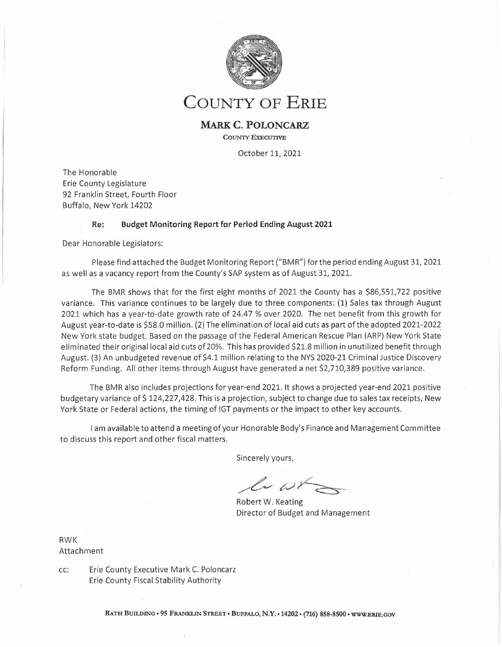|                | 466280 Local Srce - ECMCC                                  | (22,000)                      | (14, 667)                 | (11,982)                  | (2,685)                   | 81.70%           | (10,018)                  | 54.46%           |                                                                     |
|----------------|------------------------------------------------------------|-------------------------------|---------------------------|---------------------------|---------------------------|------------------|---------------------------|------------------|---------------------------------------------------------------------|
|                | 466310 Prem On Oblig - RAN                                 | (3,000,000)                   | (3,000,000)               | 0                         | (3,000,000)               | 0.00%            | (3,000,000)               | 0.00%            | At the end of the period, or 66% of the                             |
|                | 466360 Stadium Reimbursement                               | (720,000)                     | (368,000)                 | (155, 610)                | (212, 390)                | 42.29%           | (564, 390)                | 21.61%           | year, the County has achieved 64% of                                |
|                | 467000 Misc Depart Income                                  | (9,403)                       | (6, 269)                  | (1, 235)                  | (5,033)                   | 19.70%           | (8, 168)                  | 13.14%           | the annual Other Sources revenue                                    |
|                | 480020 Sale-Excess Material                                | (135,000)                     | (119,000)                 | (277, 862)                | 158,861                   | 233.50%          | 142,862                   | 205.82%          | budget.                                                             |
|                | 480030 Recycling Revenue                                   | (45,000)                      | (30,000)                  | (44, 622)                 | 14,622                    | 148.74%          | (378)                     | 99.16%           |                                                                     |
| **             | Other Sources                                              | (41, 901, 725)                | (29,014,712)              | (26, 668, 052)            | (2,346,660)               | 91.91%           | (15, 233, 673)            | 63.64%           |                                                                     |
|                | 406610 STD Clinic Fees                                     | (193, 790)                    | (129, 193)                | (59, 570)                 | (69, 624)                 | 46.11%           | (134, 220)                | 30.74%           |                                                                     |
|                | 415000 Medical Exam Fees                                   | (484, 750)                    | (403, 167)                | (539, 205)                | 136,038                   | 133.74%          | 54,455                    | 111.23%          |                                                                     |
|                | 415050 Treasurer Fees                                      | (55,000)                      | (55,000)                  | (125, 125)                | 70,125                    | 227.50%          | 70,125                    | 227.50%          |                                                                     |
|                | 415105 Passport Fees                                       | (28,000)                      | (18, 667)                 | (15, 890)                 | (2,777)                   | 85.13%           | (12, 110)                 | 56.75%           |                                                                     |
|                | 415110 Court Fees                                          | (391,600)                     | (261,067)                 | (249, 625)                | (11, 442)                 | 95.62%           | (141, 975)                | 63.74%           |                                                                     |
|                | 415120 Small Claims AR Fees                                | (200)                         | (133)                     | (575)                     | 442                       | 431.26%          | 375                       | 287.50%          |                                                                     |
|                | 415130 Auto Fees                                           | (5,451,000)                   | (3,634,000)               | (2,656,112)               | (977, 888)                | 73.09%           | (2,794,888)               | 48.73%           |                                                                     |
|                | 415140 Comm of Educ Fees                                   | (116,800)                     | (77, 867)                 | (92, 230)                 | 14,363                    | 118.45%          | (24, 570)                 | 78.96%           |                                                                     |
|                | 415150 Recording Fees                                      | (6, 200, 765)                 | (4,433,843)               | (5, 174, 015)             | 740,172                   | 116.69%          | (1,026,750)               | 83,44%           |                                                                     |
|                | 415180 Vehicle Use Tax                                     | (5,300,000)                   | (3,533,333)               |                           |                           |                  |                           |                  |                                                                     |
|                | 415185 E-Z Pass Tag Sales                                  | (17,500)                      |                           | (4, 189, 057)             | 655,724                   | 118.56%          | (1, 110, 943)             | 79.04%           |                                                                     |
|                |                                                            |                               | (11, 667)                 | (5, 150)                  | (6, 517)                  | 44.14%           | (12, 350)                 | 29.43%           |                                                                     |
|                | 415200 Civil Serv Exam Fees                                | (45,000)                      | 0                         | 0                         | $\bf{0}$                  | 0.00%            | (45,000)                  | 0.00%            |                                                                     |
|                | 415210 3rd Party Deduct Fee                                | (17,000)                      | (11, 333)                 | (8,500)                   | (2,833)                   | 75.00%           | (8,500)                   | 50.00%           |                                                                     |
|                | 415510 Civil Proc Fees-Sher                                | (1, 271, 690)                 | (597, 793)                | (520, 633)                | (77, 161)                 | 87.09%           | (751,057)                 | 40.94%           |                                                                     |
|                | 415520 Sheriff Fees                                        | (32,500)                      | (21, 667)                 | (31, 557)                 | 9,890                     | 145.65%          | (943)                     | 97.10%           |                                                                     |
|                | 415600 Inmate Discip Surch                                 | (12,500)                      | (8, 333)                  | (7,631)                   | (702)                     | 91.58%           | (4,869)                   | 61.05%           |                                                                     |
|                | 415605 Drug Testing Charge                                 | (25,000)                      | (16, 667)                 | (23, 792)                 | 7,126                     | 142.75%          | (1, 208)                  | 95.17%           |                                                                     |
|                | 415610 Restitution Surcharge                               | (17,000)                      | (11, 333)                 | (12, 319)                 | 986                       | 108,70%          | (4,681)                   | 72.46%           |                                                                     |
|                | 415630 Bail Fee-Alt / Incar                                | (5,000)                       | (3, 333)                  | (3, 139)                  | (194)                     | 94.18%           | (1,861)                   | 62.79%           |                                                                     |
|                | 415640 Probation Fees                                      | (475,000)                     | (316, 667)                | (389, 526)                | 72,859                    | 123.01%          | (85, 474)                 | 82.01%           |                                                                     |
|                | 415650 DWI Program                                         | (629, 950)                    | (209, 983)                | 0                         | (209,983)                 | 0.00%            | (629, 950)                | 0.00%            |                                                                     |
|                | 415670 Elec Monitoring Ch                                  | (3,600)                       | (2,400)                   | (3,995)                   | 1,595                     | 166.44%          | 395                       | 110.96%          |                                                                     |
|                | 415680 Pmt-Home Care Review                                | (10,000)                      | (6,667)                   | (1,827)                   | (4, 840)                  | 27.41%           | (8, 173)                  | 18.27%           |                                                                     |
|                | 416020 Comm Sanitat & Food                                 | (1, 175, 000)                 | (783, 333)                | (747,829)                 | (35, 504)                 | 95.47%           | (427, 171)                | 63.65%           |                                                                     |
|                | 416030 Realty Subdivisions                                 | (12,000)                      | (8,000)                   | (4,075)                   | (3,925)                   | 50.94%           | (7, 925)                  | 33.96%           |                                                                     |
|                | 416040 Individ Sewr Sys Opt                                | (425,000)                     | (283, 333)                | (385, 238)                | 101,905                   | 135.97%          | (39, 762)                 | 90.64%           |                                                                     |
|                | 416090 Pen & Fines-Health                                  | (20,000)                      | (13, 333)                 | (6, 553)                  | (6,780)                   | 49.15%           | (13, 447)                 | 32.77%           |                                                                     |
|                | 416150 PPD Tests                                           | (8,580)                       | (5,720)                   | (1, 225)                  | (4, 495)                  | 21.42%           | (7, 355)                  | 14.28%           |                                                                     |
|                | 416160 TB Outreach                                         | (47, 380)                     | (31,587)                  | (32, 257)                 | 670                       | 102.12%          | (15, 123)                 | 68.08%           |                                                                     |
|                | 416190 ImmunizationsService                                |                               |                           |                           |                           |                  |                           |                  |                                                                     |
|                | 416580 Training Course Fees                                | (8, 283)                      | (5, 522)                  | (3, 137)                  | (2, 385)                  | 56.81%           | (5, 146)                  | 37.87%           |                                                                     |
|                |                                                            | (56, 235)                     | (37, 490)                 | (43, 410)                 | 5,920                     | 115.79%          | (12,825)                  | 77.19%           |                                                                     |
|                | 416610 Pub Health Lab Fees                                 | (185,000)                     | (123, 333)                | (78, 397)                 | (44, 936)                 | 63.57%           | (106, 603)                | 42,38%           |                                                                     |
|                | 418040 Inspec Fee Wght/Meas                                | (175,000)                     | (116, 667)                | (148, 168)                | 31,501                    | 127.00%          | (26, 832)                 | 84.67%           |                                                                     |
|                | 418050 item Price Waivr Fee                                | (275,000)                     | (183, 333)                | (174, 349)                | (8,984)                   | 95,10%           | (100, 651)                | 63.40%           |                                                                     |
|                | 418400 Subpoena Fees                                       | (13, 546)                     | (9,031)                   | (9, 355)                  | 325                       | 103.60%          | (4, 191)                  | 69.06%           |                                                                     |
|                | 418500 Park & Rec Chgs-Camp                                | (170, 250)                    | (113,500)                 | (236, 199)                | 122,699                   | 208.11%          | 65,949                    | 138.74%          |                                                                     |
|                | 418510 Park & Rec Chgs-Shel                                | (299, 620)                    | (224, 747)                | (371, 757)                | 147,010                   | 165.41%          | 72,137                    | 124.08%          |                                                                     |
|                | 418520 Chgs-Park Emp Subsis                                | (16, 200)                     | (10, 800)                 | (13, 200)                 | 2,400                     | 122.22%          | (3,000)                   | 81.48%           |                                                                     |
|                | 418530 Golf Chg-Other Fees                                 | (170, 703)                    | (113,802)                 | (258, 610)                | 144,808                   | 227.25%          | 87,907                    | 151.50%          |                                                                     |
|                | 418540 Golf Chg-Greens Fees                                | (393, 572)                    | (312, 381)                | (637, 436)                | 325,055                   | 204.06%          | 243,864                   | 161.96%          |                                                                     |
|                | 418550 Sale of Forest Prod                                 | (8,000)                       | (5, 333)                  | (4, 511)                  | (823)                     | 84.57%           | (3,490)                   | 56.38%           |                                                                     |
|                | 418590 Spec Events Receipts                                | (8,100)                       | (5,400)                   | (4,838)                   | (563)                     | 89,58%           | (3, 263)                  | 59.72%           |                                                                     |
|                | 420000 Tx&Assm Svs-Oth Govt                                | (168,000)                     | (168,000)                 | (168, 270)                | 270                       | 100.16%          | 270                       | 100.16%          |                                                                     |
|                | 420010 Elec Exp Other Govt                                 | (7,581,812)                   | (7,581,812)               | (7,581,812)               | 0                         | 100.00%          | $\mathbf 0$               | 100.00%          |                                                                     |
|                | 420030 Police Svcs-Oth Gvt                                 | (307, 550)                    | (205, 033)                | (180, 034)                | (24, 999)                 | 87.81%           | (127, 516)                | 58.54%           |                                                                     |
|                | 420040 Jail Facil - Oth Gov                                | $\mathbf 0$                   | 0                         | (1,027,700)               | 1,027,700                 | 0.00%            | 1,027,700                 | 0.00%            |                                                                     |
|                | 420190 Gen Svc-Oth Gov                                     | (960)                         | (640)                     | (640)                     | 0                         | 100.00%          | (320)                     | 66.67%           |                                                                     |
|                | 420271 CESQG Charges                                       | (30,000)                      | (7,500)                   | (17, 175)                 | 9,675                     | 229.00%          | (12, 825)                 | 57.25%           |                                                                     |
|                | 421000 Pistol Permits                                      | (160,000)                     | (106, 667)                | (173, 248)                | 66,581                    | 162.42%          | 13,248                    | 108.28%          |                                                                     |
|                | 421010 Hhwy Work Permit Fee                                | 0                             | 0                         | $\,$ 0                    | 0                         | 0.00%            | 0                         | 0.00%            |                                                                     |
|                | 421500 Fines&Forfeited Bail                                | (17,000)                      | (11, 333)                 | (9,704)                   | (1,630)                   | 85.62%           | (7, 296)                  | 57.08%           |                                                                     |
|                | 421510 Fines and Penalties                                 | (3,500)                       | (2, 333)                  | (4, 485)                  | 2,152                     | 192.21%          | 985                       | 128.14%          | After 66% of the year, the County has                               |
|                | 466010 NSF Check Fees                                      | (1,720)                       | (1, 147)                  | (1,853)                   | 707                       | 161.63%          | 133                       | 107.75%          | achieved 82% of the annual Fees,                                    |
|                | 466190 Item Pricing Penalty                                | (188,000)                     | (145, 333)                | (294,530)                 | 149,197                   | 202.66%          | 106,530                   | 156.66%          | Fines, or Charges revenue budget.                                   |
|                | 466340 STOPDWI VIP Prs Fees                                | (15,000)                      | (10,000)                  | (6,900)                   | (3, 100)                  | 69.00%           | (8, 100)                  | 46.00%           |                                                                     |
|                |                                                            |                               |                           |                           |                           |                  |                           |                  |                                                                     |
|                |                                                            |                               |                           |                           |                           |                  |                           |                  |                                                                     |
|                | Fees, Fines or Charges                                     | (32, 724, 656)                | (24, 390, 558)            | (26, 736, 369)            | 2,345,811                 | 109.62%          | (5,988,287)               | 81.70%           |                                                                     |
|                | 402190 Approp Fund Balance                                 | (10,000,000)                  | 0                         | 0                         | 0                         | 0.00%            | (10,000,000)              | 0.00%            |                                                                     |
|                | Appropriated Fund Balance                                  | (10,000,000)                  | $\mathbb O$               | $\mathbf 0$               | $\mathsf{o}\,$            | 0.00%            | (10,000,000)              | 0.00%            |                                                                     |
|                | <b>Local Source Revenue</b>                                | (1, 158, 810, 008)            | (858, 889, 644)           | (961, 134, 669)           | 102,245,025               | 111.90%          | (197, 675, 339)           | 82.94%           |                                                                     |
|                | 405570 ME 50% Fed Presch                                   | (3,668,358)                   | (2,445,572)               | (1,608,268)               | (837, 304)                | 65.76%           | (2,060,090)               | 43.84%           |                                                                     |
|                | 410070 FA-IV-B Preventive                                  | (905, 239)                    | (603, 493)                | (798, 379)                | 194,886                   | 132.29%          | (106, 860)                | 88.20%           |                                                                     |
|                | 410080 FA-Admin Chargeback                                 | 1,835,629                     | 1,223,753                 | 1,223,753                 | (0)                       | 100.00%          | 611,876                   | 66.67%           |                                                                     |
|                | 410120 FA-SNAP ET 100%                                     | (391, 867)                    | (261, 245)                | (265, 662)                | 4,417                     | 101.69%          | (126, 205)                | 67.79%           |                                                                     |
|                | 410150 SSA-SSI Pri Inc Prg                                 | (35,000)                      | (23, 333)                 | (8,800)                   | (14, 533)                 | 37.71%           | (26, 200)                 | 25.14%           |                                                                     |
|                | 410180 Fed Aid School Brk                                  | (18, 286)                     | (12, 191)                 | (17, 488)                 | 5,297                     | 143.45%          | (798)                     | 95,64%           |                                                                     |
|                | 410240 HUD Rev D14.267 CoC                                 | (5,975,723)                   | (3,932,477)               | (3,775,485)               | (156, 992)                | 96.01%           | (2, 200, 238)             | 63.18%           |                                                                     |
|                | 410500 FA-Civil Defense                                    | (340, 602)                    | (227,068)                 | (223, 922)                | (3, 147)                  | 98.61%           | (116, 681)                | 65.74%           | <b>Federal Aid</b>                                                  |
|                |                                                            |                               |                           |                           |                           |                  |                           |                  |                                                                     |
|                | 410510 Fed Drug Enforcement                                | (36, 686)                     | (24, 457)                 | (11, 915)                 | (12, 543)                 | 48.72%           | (24, 771)                 | 32.48%           | Formula driven Federal Aid which<br>appears under budget, mainly In |
|                | 410520 Fr Ci Bfio Pol Dept                                 | (28, 375)                     | (18, 917)                 | (14, 896)                 | (4,021)                   | 78.74%           | (13, 479)                 | 52.50%           | Health and Human Service                                            |
|                | 411000 MH Fed Medi Sal Sh                                  | (739, 441)                    | (422, 961)                | (403, 057)                | (19,904)                  | 95.29%           | (336, 384)                | 54.51%           | Departments, is offset by savings in                                |
|                | 411490 Fed Aid - TANF FFFS                                 | (39, 623, 632)                | (26, 415, 755)            | (22, 762, 552)            | (3,653,203)               | 86.17%           | (16,861,080)              | 57.45%           | associated expenditures.                                            |
| 411495 FA-SYEP |                                                            | (2,203,773)                   | (1,221,508)               | (1, 200, 636)             | (20, 872)                 | 98.29%           | (1,003,137)               | 54.48%           |                                                                     |
|                | 411500 Fed Aid - MA In House                               | 2,122,109                     | 1,414,739                 | 1,252,117                 | 162,622                   | 88.51%           | 869,992                   | 59.00%           |                                                                     |
|                | 411520 FA-Family Assistance                                | (34, 727, 326)                | (23, 151, 551)            | (15, 313, 174)            | (7,838,376)               | 66.14%           | (19, 414, 152)            | 44.10%           |                                                                     |
|                | 411540 FA-Social Serv Admin                                | (20,011,307)                  | (12,788,332)              | (9,754,066)               | (3,034,266)               | 76.27%           | (10, 257, 241)            | 48.74%           |                                                                     |
|                | 411550 FA-Soc Serv Adm A-87<br>411570 Fed Aid - SNAP Admin | (1, 185, 452)<br>(13,572,956) | (790, 301)<br>(9,048,637) | (580, 576)<br>(7,086,667) | (209, 725)<br>(1,961,970) | 73.46%<br>78.32% | (604, 876)<br>(6,486,289) | 48.98%<br>52.21% |                                                                     |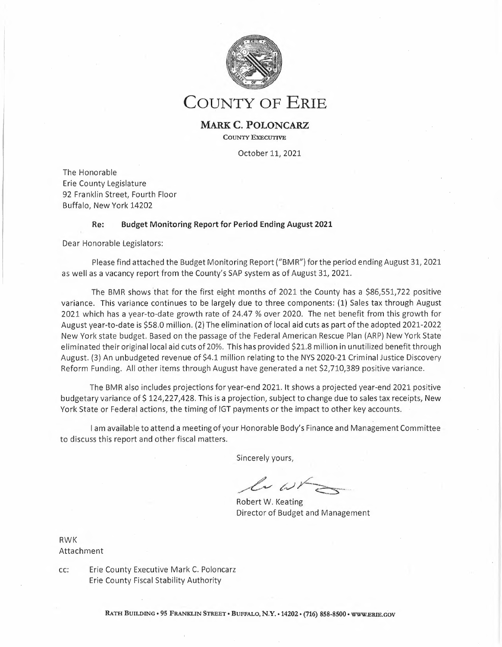| 411580 Fed Aid - SNAP ET 50% | (3,038,400)     | (2,025,600)        | (1,413,454)         | (612, 146)    | 69.78%     | (1,624,946)     | 46.52%    |                                                              |
|------------------------------|-----------------|--------------------|---------------------|---------------|------------|-----------------|-----------|--------------------------------------------------------------|
| 411590 FA-HEAP               | (3,939,165)     | (2,626,110)        | (3,706,454)         | 1,080,344     | 141.14%    | (232,711)       | 94.09%    |                                                              |
| 411610 FA-Serv/Recipients    | (5,310,745)     | (3,540,497)        | (2,663,972)         | (876, 525)    | 75.24%     | (2,646,773)     | 50.16%    |                                                              |
| 411640 FA-Daycare Block Grt  | (25, 205, 076)  | (15,468,717)       | (15,533,639)        | 64,921        | 100.42%    | (7,669,437)     | 66.95%    |                                                              |
| 411670 FA-Refugee&Entrants   |                 |                    |                     |               |            |                 |           |                                                              |
|                              | (50, 856)       | (33,904)           | (18, 985)           | (14, 919)     | 56.00%     | (31, 871)       | 37.33%    |                                                              |
| 411680 FA-Foster Care/Adopt  | (14, 616, 248)  | (9,744,165)        | (8, 114, 782)       | (1,629,383)   | 83.28%     | (6, 501, 466)   | 55.52%    |                                                              |
| 411690 FA-IV-D Incentives    | (426, 359)      | (284, 239)         | (307, 840)          | 23,601        | 108.30%    | (118, 519)      | 72.20%    |                                                              |
| 411700 FA-TANF Safety Net    | (564, 749)      | (376, 499)         | (177, 953)          | (198, 546)    | 47.27%     | (386, 796)      | 31.51%    |                                                              |
| 411780 Fed Ald-Medicald Adm  | (123, 643)      | (82, 429)          | (86, 767)           | 4,338         | 105.26%    | (36, 876)       | 70.18%    |                                                              |
| 412000 FA-School Lunch Prog  |                 |                    |                     |               |            |                 |           | After 66% of the year, the Cotinty has                       |
|                              | (29,056)        | (19, 371)          | (27, 849)           | 8,478         | 143.77%    | (1, 207)        | 95.85%    | achieved 55% of the budgeted Federal                         |
| 414000 Federal Aid           | (262, 544)      | (115,092)          | (33,906)            | (81, 187)     | 29.46%     | (228, 638)      | 12.91%    | reventie.                                                    |
| 414010 Federal Aid - Other   | (6, 375)        | (4, 250)           | 0                   | (4,250)       | 0.00%      | (6, 375)        | 0.00%     |                                                              |
| 414020 Misc Federal Aid      | (45, 857)       | (30, 571)          | (65, 755)           | 35,183        | 215.09%    | 19,898          | 143.39%   |                                                              |
| 414030 FMAP Revenue          | $\circ$         | 0                  | (904, 828)          |               |            |                 |           |                                                              |
|                              |                 |                    |                     | 904,828       | 0.00%      | 904,828         | 0.00%     |                                                              |
| *** Federal Revenue          | (171, 123, 358) | (113, 100, 750)    | (94, 405, 856)      | (18,694,894)  | 83.47%     | (76, 717, 502)  | 55.17%    |                                                              |
| 405000 State Ald Fr Da Sal   | (77, 682)       | (51, 788)          | (15, 536)           | (36, 252)     | 30.00%     | (62, 146)       | 20.00%    |                                                              |
| 405010 St Re Indigent Care   |                 |                    |                     |               |            |                 |           | <b>State Ald</b>                                             |
|                              | (30,000)        | (20,000)           | (44, 984)           | 24,984        | 224.92%    | 14,984          | 149.95%   | Overall benefit of \$68.5 million was                        |
| 405060 State Ald - NYSERDA   | (75, 603)       | (75, 603)          | (75, 603)           | (0)           | 100.00%    | (0)             | 100.00%   | realized due to elimination by NYS In their                  |
| 405170 SA-Crt Fac Incen Aid  | (2, 222, 863)   | (1,481,909)        | (1, 279, 974)       | (201, 934)    | 86.37%     | (942,889)       | 57.58%    | SFY 21-22 Budget of withholding a 20%                        |
| 405190 StAid-Octane Testing  | (30,000)        | (20,000)           | (18, 642)           | (1, 358)      | 93.21%     | (11, 358)       | 62.14%    | portion of County State Aid payments and                     |
| 405500 SA-Spec Need Presch   | (31, 460, 139)  | (20, 973, 426)     | (25, 457, 232)      | 4,483,806     | 121.38%    | (6,002,907)     | 80.92%    | also due to payments received in 2021 for                    |
|                              |                 |                    |                     |               |            |                 |           | NYS SFY 20-21 witholdings which occurred in                  |
| 405520 SA-NYS DOH EI Serv    | (4,032,801)     | (2,688,534)        | (3,021,427)         | 332,893       | 112.38%    | (1,011,374)     | 74.92%    | 2020. The gross 2021 benefit is \$ 38.3                      |
| 405530 SA-Admin Preschool    | (378, 836)      | (252, 557)         | (382, 725)          | 130,168       | 151.54%    | 3,889           | 101.03%   | million for budgeted 2021 revenue losses                     |
| 405540 SA-Art VI-P H Work    | (1,832,215)     | (1, 221, 477)      | (1, 217, 194)       | (4, 282)      | 99.65%     | (615, 021)      | 66,43%    | and another \$30.2 million relating to the                   |
| 405560 SA-NYS DOH EI Admin   | (454, 155)      | (302, 770)         | (306, 654)          | 3,884         | 101.28%    | (147, 501)      | 67.52%    | 2021 return of withholdings which occurred                   |
|                              |                 |                    |                     |               |            |                 |           | In 2020, \$9.3 million of this benefit was                   |
| 405590 SA-Medicaid El Admin  | (123, 643)      | (82, 429)          | (86, 766)           | 4,337         | 105.26%    | (36, 877)       | 70.17%    | used as a funding source lor additional 2021                 |
| 405595 SA-Med Anti Fraud     | (425, 360)      | (283, 573)         | (208, 821)          | (74, 752)     | 73.64%     | (216, 539)      | 49.09%    | pay-as-you-go capital project work, another                  |
| 406000 SA-Fr Prob Serv       | (1, 181, 952)   | (787, 968)         | (787, 968)          | 0             | 100.00%    | (393,984)       | 66.67%    | \$34.6 million was utilized as a funding                     |
| 406010 SA-Fr Nav Law Enforc  | (80, 500)       | (53, 667)          | 58,201              | (111, 868)    | $-108.45%$ | (138, 701)      | $-72.30%$ | source in the 2021 RENEW Plan and \$ 0.2                     |
| 406020 SA-Snomob Lw Enforc   |                 |                    |                     |               |            |                 |           | was used to lund a 8roadband Utility                         |
|                              | (20,000)        | (13, 333)          | $\mathbf 0$         | (13, 333)     | 0.00%      | (20,000)        | 0.00%     | Business Plan and Design. The remaining                      |
| 406500 Refugee Hith Assment  | (91, 041)       | (60, 694)          | (35, 112)           | (25, 583)     | 57.85%     | (55, 930)       | 38.57%    | unutilized 2021 YTD positive variance is \$<br>24.4 million. |
| 406550 Emerg Med Training    | (358, 655)      | (239, 103)         | (174, 365)          | (64, 738)     | 72.92%     | (184, 290)      | 48.62%    |                                                              |
| 406560 SA-Art VI-PubHlthLab  | (2,430,888)     | (1, 527, 957)      | (1,602,960)         | 75,003        | 104.91%    | (827,928)       | 65.94%    |                                                              |
| 406810 SA-Foren Mntl Hea Sr  |                 |                    |                     |               |            |                 |           |                                                              |
|                              | (2,842,867)     | (1,895,245)        | (1,536,838)         | (358, 407)    | 81.09%     | (1,306,029)     | 54.06%    |                                                              |
| 406830 SA-Mental Health II   | (29,062,504)    | (19, 252, 059)     | (19, 216, 594)      | (35, 465)     | 99.82%     | (9,845,910)     | 66.12%    |                                                              |
| 406860 State Aid - OASAS     | (11,744,796)    | (7,751,230)        | (7, 523, 291)       | (227, 939)    | 97.06%     | (4,221,505)     | 64.06%    |                                                              |
| 406880 State Aid - OPWDD     | (526, 325)      | (350, 883)         | (350, 883)          | (0)           | 100.00%    | (175, 442)      | 66.67%    |                                                              |
| 406890 Handpd Park Surch     | (25, 500)       | (17,000)           |                     |               | 42.08%     | (18, 347)       | 28.05%    |                                                              |
|                              |                 |                    | (7, 153)            | (9,847)       |            |                 |           |                                                              |
| 407500 SA-MA In House        | 2,122,109       | 1,414,739          | 1,621,744           | (207,005)     | 114.63%    | 500,365         | 76.42%    |                                                              |
| 407510 SA-Spec Need Aduit    | (2, 310)        | (1, 540)           | 0                   | (1, 540)      | 0.00%      | (2, 310)        | 0.00%     |                                                              |
| 407520 SA-Family Assistance  | $\mathbf 0$     | 0                  | (14, 682)           | 14,682        | 0.00%      | 14,682          | 0.00%     |                                                              |
| 407540 SA-Soc Serv Admin     | (32,907,805)    | (21, 338, 537)     | (19,846,900)        | (1,491,637)   | 93.01%     | (13,060,905)    | 60.31%    |                                                              |
|                              |                 |                    |                     |               |            |                 |           |                                                              |
| 407580 SA-Sch Breakfst Prog  | (842)           | (561)              | (775)               | 214           | 138.07%    | (67)            | 92.04%    |                                                              |
| 407590 SA-5chool Lunch Prog  | (494)           | (329)              | (459)               | 130           | 139.37%    | (35)            | 92.92%    |                                                              |
| 407600 SA-Sec Det Other Co   | (707,080)       | (558, 887)         | (1,639,025)         | 1,080,138     | 293.27%    | 931,945         | 231.80%   |                                                              |
| 407610 SA-Sec Det Loc Yth    | (4,064,316)     | (2,709,544)        | (1,707,670)         | (1,001,874)   | 63.02%     | (2,356,646)     | 42.02%    |                                                              |
|                              |                 |                    |                     |               |            |                 |           |                                                              |
| 407615 SA-Non-Sec Loc Yth    | $\mathbf 0$     | 0                  | (319,085)           | 319,085       | 0.00%      | 319,085         | 0.00%     |                                                              |
| 407625 SA-Raise the Age      | (6,832,520)     | (5,771,172)        | (8,609,563)         | 2,838,391     | 149.18%    | 1,777,043       | 126.01%   |                                                              |
| 407630 SA-Safety Net Assist  | (8,694,262)     | (5,796,175)        | (5,213,681)         | (582, 494)    | 89,95%     | (3,480,581)     | 59.97%    |                                                              |
| 407640 SA-Emrg Assist/Adult  | (600, 572)      | (400, 381)         | (209, 647)          | (190, 734)    | 52.36%     | (390, 925)      | 34.91%    |                                                              |
| 407650 SA-Foster Care/Adopt  |                 |                    |                     |               |            |                 |           |                                                              |
|                              | (23, 252, 617)  | (13,501,745)       | (11, 568, 744)      | (1,933,001)   | 85.68%     | (11,683,873)    | 49.75%    |                                                              |
| 407670 SA-EAF Prev POS       | (5,704,692)     | (3,803,128)        | (1, 133, 057)       | (2,670,071)   | 29.79%     | (4,571,635)     | 19.86%    |                                                              |
| 407680 SA-Serv Fr Recipnts   | (4,997,798)     | (3,763,426)        | (5,483,720)         | 1,720,294     | 145.71%    | 485,922         | 109.72%   |                                                              |
| 407710 SA-Legal Serv/Disab   | (141,800)       | (94, 533)          | 0                   | (94, 533)     | 0.00%      | (141, 800)      | 0.00%     |                                                              |
| 407720 SA-Handicapped Child  | (230, 943)      | (153, 962)         | 0                   | (153, 962)    | 0.00%      | (230, 943)      | 0.00%     |                                                              |
|                              |                 |                    |                     |               |            |                 |           |                                                              |
| 407730 State Aid - Burials   | (1,034)         | (689)              | $\mathbf 0$         | (689)         | 0.00%      | (1,034)         | 0.00%     |                                                              |
| 407740 SA-Veterns Srv Agenc  | (50,000)        | 0                  | $\mathsf{O}\xspace$ | 0             | 0.00%      | (50,000)        | 0.00%     |                                                              |
| 407780 SA-Daycare Block Grt  | (4, 784, 039)   | (3, 189, 359)      | (1,058,134)         | (2, 131, 225) | 33.18%     | (3,725,905)     | 22.12%    |                                                              |
| 407785 SA-WDI Enrollment     | 0               | 0                  | (312, 683)          | 312,683       | 0.00%      | 312,683         | 0.00%     |                                                              |
| 407795 State Aid - Code Blue | (406, 428)      | (270, 952)         | (406, 429)          | 135,477       |            | $\mathbf{1}$    | 100.00%   |                                                              |
|                              |                 |                    |                     |               | 150.00%    |                 |           |                                                              |
| 408000 SA-Youth Progs        | (22, 275)       | (14, 850)          | (86, 217)           | 71,367        | 580.59%    | 63,942          | 387.06%   |                                                              |
| 408020 Youth-Reimb Programs  | (784, 495)      | (522, 997)         | (813, 742)          | 290,745       | 155.59%    | 29,247          | 103.73%   |                                                              |
| 408030 Yth-Runaway Adv Prog  | (34, 327)       | (22, 885)          | (35, 013)           | 12,129        | 153.00%    | 686             | 102.00%   |                                                              |
| 408040 Yth-Runway Reim Prog  | (34, 328)       | (22,885)           | (14, 640)           | (8, 245)      | 63.97%     | (19,688)        | 42.65%    |                                                              |
|                              |                 |                    |                     |               |            |                 |           |                                                              |
| 408050 Yth-Homeless Adv Prg  | (72, 656)       | (48, 437)          | (73, 937)           | 25,500        | 152.64%    | 1,281           | 101.76%   |                                                              |
| 408060 Yth-Homeless Reim Pr  | (51,086)        | (34, 057)          | (19, 434)           | (14, 623)     | 57.06%     | (31,652)        | 38.04%    |                                                              |
| 408065 Yth-Supervision       | (840,000)       | (560,000)          | (460, 538)          | (99, 462)     | 82.24%     | (379, 462)      | 54.83%    |                                                              |
| 408530 SA-Crim Justice Prog  | (672,071)       | (466, 381)         | (462, 384)          | (3,996)       | 99.14%     | (209, 687)      | 68.80%    |                                                              |
|                              |                 |                    |                     |               |            |                 |           | \$4,068,952 of unbudgeted NYS                                |
| 409000 State Aid Revenues    | (271,075)       | (164, 107)         | (279, 171)          | 115,065       | 170.12%    | 8,096           | 102.99%   | Discovery Aid was received in April.                         |
| 409010 State Ald - Other     | (186,060)       | (185, 532)         | (4, 367, 605)       | 4,182,073     | 2354.10%   | 4,181,545       | 2347.42%  |                                                              |
| 409020 SA-Misc               | (27, 564)       | (18, 376)          | (37, 473)           | 19,097        | 203.92%    | 9,909           | 135.95%   |                                                              |
| 409030 SA-Main-Lleu of Rent  | (157, 578)      | (105, 052)         | (113, 265)          | 8,213         | 107.82%    | (44, 313)       | 71.88%    |                                                              |
|                              |                 |                    |                     |               |            |                 |           |                                                              |
| 409050 SA-Revenue Offset     | (5,763,865)     | (5,763,865)        | (14,073,401)        | 8,309,536     | 244.17%    | 8,309,536       | 244.17%   |                                                              |
| ***<br><b>State Revenue</b>  | (189, 683, 148) | (127, 272, 811)    | (140, 031, 850)     | 12,759,039    | 110.03%    | (49, 651, 298)  | 73,82%    |                                                              |
| 450000 Interfnd Rev Non-Sub  | (51, 338, 831)  | (49, 164, 344)     | (49, 172, 241)      | 7,897         | 100.02%    | (2, 166, 590)   | 95.78%    |                                                              |
| 486010 Resid Equity Tran-In  | (29, 746)       | (29, 746)          | (20, 860)           | (8,886)       | 70.13%     | (8,886)         | 70.13%    |                                                              |
|                              |                 |                    |                     |               |            |                 |           |                                                              |
| *** Interfund Revenue        | (51, 368, 577)  | (49, 194, 090)     | (49, 193, 102)      | (988)         | 100.00%    | (2, 175, 475)   | 95.77%    |                                                              |
| **** County Revenue          | (1,570,985,091) | (1, 148, 457, 296) | (1, 244, 765, 477)  | 96,308,181    | 108.39%    | (326, 219, 614) | 79.23%    |                                                              |

 $\lambda$ 

 $\mathcal{L}$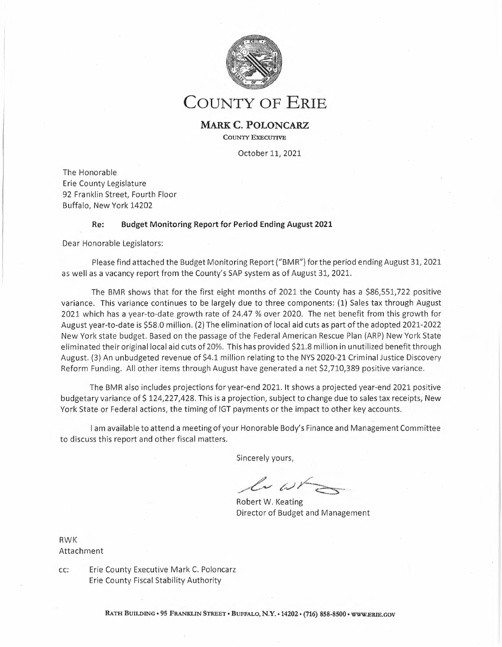| Expense                         |             |             |               |                |          |                |            |                                                                          |
|---------------------------------|-------------|-------------|---------------|----------------|----------|----------------|------------|--------------------------------------------------------------------------|
| 500000 Full Time - Salaries     | 221,061,577 | 134,466,600 | 129,618,640   | 4,847,960      | 96.39%   | 91,442,937     | 58.63%     |                                                                          |
| 500010 Part Ilme - Wages        | 3,258,315   | 2,024,079   | 1,465,706     | 558,373        | 72.41%   | 1,792,609      | 44.98%     | After 00% of the year,                                                   |
| 500020 Regular PT - Wages       | 1,415,266   | 934,903     | 723,938       | 210,965        | 77.43%   | 691,328        | 51.15%     | the County has spent 58%<br>of budgeted sataries.                        |
| 500030 Seasonal - Wages         | 918,354     | 603,841     | 337,210       | 266,631        | 55.84%   | 581,144        | 36.72%     |                                                                          |
| Salaries                        | 226,653,512 | 138,029,423 | 132,145,494   | 5,883,929      |          | 94,508,018     |            |                                                                          |
|                                 |             |             |               |                | 95.74%   |                | 58.30%     |                                                                          |
| 500300 Shift Differential       | 1,623,046   | 1,074,458   | 969,505       | 104,953        | 90.23%   | 653,541        | 59.73%     |                                                                          |
| 500320 Uniform Allowance        | 915,600     | 215,250     | 215,250       | $\circ$        | 100.00%  | 700,350        | 23.51%     | Through the end of Juty, overtime is                                     |
| 500330 Holiday Worked           | 1,847,157   | 1,224,120   | 1,173,715     | 50,404         | 95.88%   | 673,442        | 63.54%     | showing a negative variance of \$1.1M.                                   |
| 500340 Line-up Pay              | 2,560,621   | 1,688,266   | 1,422,012     | 266,254        | 84.23%   | 1,138,609      | 55.53%     |                                                                          |
| 500350 Other Employee Pymts     | 6,662,133   | 1,145,224   | 756,361       | 388,863        | 66.04%   | 5,905,772      | 11.35%     |                                                                          |
| 501000 Overtime                 |             |             |               |                |          |                |            |                                                                          |
|                                 | 15,186,215  | 10,902,056  | 12,088,801    | (1, 186, 745)  | 110.89%  | 3,097,414      | 79.60%     |                                                                          |
| $\pm\pm$<br>Non-Salaries        | 28,794,772  | 16,249,373  | 16,625,645    | (376, 271)     | 102.32%  | 12,169,127     | 57.74%     |                                                                          |
| 504990 Reductions Per Srv       | (1,637,541) | (1,095,941) | 0             | (1,095,941)    | 0.00%    | (1,637,541)    | 0.00%      |                                                                          |
| Countywide Adjustments          | (1,637,541) | (1,095,941) | $\bf{0}$      | (1,095,941)    | 0.00%    | (1,637,541)    | 0.00%      |                                                                          |
| *** Personnel Related Expense   | 253,810,743 | 153,182,855 | 148,771,139   | 4,411,716      | 97.12%   | 105,039,605    | 58.62%     |                                                                          |
| 502000 Fringe Benefits          | 127,634,943 | 77,832,463  |               | 77,833,955     |          |                |            |                                                                          |
|                                 |             |             | (1, 493)      |                | 0.00%    | 127,636,436    | 0.00%      |                                                                          |
| 502010 Employer FICA            | 0           | 0           | 8,852,567     | (8,852,567)    | 0.00%    | (8,852,567)    | 0.00%      | All departmental Fringe Benefit                                          |
| S02020 Empler FICA-Medicare     | $\mathbb O$ | $\circ$     | 2,066,812     | (2,066,812)    | 0.00%    | (2,066,812)    | 0.00%      | expense is budgeted in account                                           |
| 502030 Employee Health Ins      | 0           | 0           | 22,971,654    | (22, 971, 654) | 0.00%    | (22, 971, 654) | 0.00%      | 502000. Actual expense is recorded at                                    |
| 502040 Dental Plan              | 0           | 0           | 764,742       | (764, 742)     | 0.00%    | (764, 742)     | 0.00%      | the detailed level indicated. The<br>exception is the budget for Workers |
| 502050 Workers' Compensation    | 12,024,377  | 7,954,125   | 8,242,304     | (288, 179)     | 103.62%  | 3,782,073      | 68,55%     | Compensation and ECMC legacy-                                            |
| 502060 Unemployment Ins         | $\Omega$    | $\Omega$    | (702, 553)    | 702,553        |          |                |            | related expense.                                                         |
|                                 |             |             |               |                | 0.00%    | 702,553        | 0.00%      |                                                                          |
| 502070 Hosp & Med-Retirees'     | 2,184,480   | 1,456,320   | 17, 151, 822  | (15,695,502)   | 1177.75% | (14, 967, 342) | 785.17%    |                                                                          |
| 502090 Hlth Ins Waiver          | 0           | $\Omega$    | 1,043,246     | (1,043,246)    | 0.00%    | (1,043,246)    | 0.00%      |                                                                          |
| 502100 Retirement               | 0           | $\Omega$    | 20,266,758    | (20, 266, 758) | 0.00%    | (20, 266, 758) | 0.00%      | After 66% of the year, the County has                                    |
| 502130 Wkrs Cmp Otr Fd Reim     | (9,744,568) | (6,446,032) | (3,939,227)   | (2,506,804)    | 61.11%   | (5,805,341)    | 40.42%     | spent 58% of the total budgeted Fringe                                   |
| 502140 3rd Party Recoveries     | (1,424,032) | (941, 997)  | (1, 551, 934) | 609,937        | 164.75%  | 127,902        | 108.98%    | Benefit expense.                                                         |
|                                 |             |             |               |                |          |                |            |                                                                          |
| *** Fringe Benefit Total        | 130,675,200 | 79,854,879  | 75,164,698    | 4,690,181      | 94.13%   | 55,510,502     | 57.52%     |                                                                          |
| 505000 Office Supplies          | 1,085,991   | 626,763     | 339,966       | 286,797        | 54.24%   | 746,024        | 31.30%     |                                                                          |
| 505200 Clothing Supplies        | 550,277     | 304,009     | 207,469       | 96,540         | 68.24%   | 342,808        | 37.70%     |                                                                          |
| 505400 Food & Kitchen Supp      | 1,616,325   | 838,749     | 758,849       | 79,900         | 90.47%   | 857,476        | 46.95%     |                                                                          |
| 505600 Auto Tr & Hvy Eq Sup     | 1,810,263   | 1,525,427   | 912,318       | 613,109        | 59.81%   | 897,945        | 50.40%     |                                                                          |
|                                 |             |             |               |                |          |                |            |                                                                          |
| 505800 Medical & Hith Supp      | 3,721,100   | 1,135,999   | 632,892       | 503,107        | 55.71%   | 3,088,207      | 17.01%     |                                                                          |
| 506200 Maintenance & Repair     | 2,447,962   | 1,395,504   | 1,196,156     | 199,348        | 85.72%   | 1,251,806      | 48.86%     |                                                                          |
| 506400 Highway Supplies         | 2,000       | 857         | 207           | 650            | 24.17%   | 1,793          | 10.36%     |                                                                          |
| 507000 E-Z Pass Supplies        | 14,700      | 9,800       | 7,350         | 2,450          | 75.00%   | 7,350          | 50.00%     |                                                                          |
| Supplies and Repairs            | 11,248,618  | 5,837,108   | 4,055,208     | 1,781,901      | 69.47%   | 7,193,410      | 36.05%     |                                                                          |
| 555000 General Liability        | 5,182,518   | 1,623,250   | 7             | 1,623,243      | 0.00%    | 5,182,511      | 0.00%      |                                                                          |
|                                 |             |             |               |                |          |                |            |                                                                          |
| 555010 Settlmts/Jdgmnts-Lit     | 0           | 0           | 105,467       | (10S, 467)     | 0.00%    | (105, 467)     | 0.00%      |                                                                          |
| 555020 Travel & Mileage-Lit     | 0           | $\circ$     | 57            | (57)           | 0.00%    | (57)           | 0.00%      |                                                                          |
| 555030 Litig & Rel Disburs.     | $\theta$    | 0           | 79,123        | (79, 123)      | 0.00%    | (79, 123)      | 0.00%      |                                                                          |
| 555040 Expert/Cons Fees-Lit     | $\Omega$    | 0           | 444,942       | (444, 942)     | 0.00%    | (444, 942)     | 0.00%      |                                                                          |
| 555050 Insurance Premiums       | 19,400      | 12,933      | 993,833       | (980, 900)     | 7684.28% | (974, 433)     | 5122.85%   | Risk Retention expense is budgeted in                                    |
|                                 |             |             |               |                |          |                |            | account 555000 while actual expense                                      |
| <b>Risk Retention</b>           | 5,201,918   | 1,636,183   | 1,623,430     | 12,754         | 99.22%   | 3,578,488      | 31.21%     | is recorded at a detaited tevet in the                                   |
| 510000 Local Mileage Reimb      | 1,086,440   | 717,097     | 512,736       | 204,361        | 71.50%   | 573,704        | 47.19%     | accounts indicated. In total Risk                                        |
| 510100 Out Of Area Travel       | 512,021     | 280,335     | 106,210       | 174,125        | 37.89%   | 405,811        | 20.74%     | Retention is on budget for the period.                                   |
| S10200 Training And Educat      | 582,581     | 397,227     | 296,005       | 101,223        | 74.52%   | 286,577        | 50.81%     |                                                                          |
| 511000 Control Board Expense    | 504,000     | 336,000     | 307,069       | 28,931         | 91.39%   | 196,931        | 60.93%     |                                                                          |
|                                 |             |             |               |                |          |                |            |                                                                          |
| 515000 Utillty Charges          | 2,744,416   | 1,828,889   | 2,127,955     | (299,066)      | 116.35%  | 616,461        | 77.54%     |                                                                          |
| 516040 DSS Trng & Edu Pro       | 1,501,950   | 1,001,300   | 1,001,300     | 0              | 100.00%  | 500,650        | 66.67%     |                                                                          |
| 530000 Other Expenses           |             |             | 583,484       | 926,775        | 38.63%   |                |            |                                                                          |
|                                 | 5,401,514   | 1,510,258   |               |                |          | 4,818,030      | 10.80%     |                                                                          |
| 530010 Chargebacks              |             |             |               |                |          |                | $-142.81%$ |                                                                          |
|                                 | 1,494,900   | (1,913,810) | (2, 134, 829) | 221,019        | 111.55%  | 3,629,729      |            |                                                                          |
| 530030 Pivot Wage Subsidies     | 2,805,679   | 1,907,583   | 1,796,193     | 111,391        | 94.16%   | 1,009,486      | 64.02%     |                                                                          |
| 545000 Rental Charges           | 9,706,866   | 6,162,474   | 6,084,406     | 78,068         | 98.73%   | 3,622,460      | 62.68%     |                                                                          |
| ** Other                        | 31,542,283  | 13,863,537  | 12,303,957    | 1,559,580      | 88.75%   | 19,238,326     | 39.01%     |                                                                          |
| Non Profit Purchase of Servic   | 107,093,015 | 69,368,926  | 67,433,320    | 1,935,606      | 97.21%   | 39,659,696     | 62.97%     |                                                                          |
| Professional Srvs Contracts a   | 42,178,454  | 24,203,092  | 22,938,261    | 1,264,831      | 94.77%   | 19,240,193     | 54.38%     |                                                                          |
| 516050 Dept Payments-ECMCC      | 7,344,964   | 5,528,830   | 5,159,764     | 369,066        | 93.32%   | 2,185,200      | 70.25%     |                                                                          |
|                                 |             |             |               | $\mathbf 0$    |          |                |            |                                                                          |
| 516051 ECMCC Drug & Alcohol     | 397,493     | 264,995     | 264,995       |                | 100.00%  | 132,498        | 66.67%     |                                                                          |
| $\ast$<br><b>ECMCC Payments</b> | 7,742,457   | 5,793,825   | 5,424,759     | 369,066        | 93.63%   | 2,317,698      | 70.07%     |                                                                          |
| 516060 Sales Tax Loc Gov 3%     | 316,149,457 | 209,534,980 | 251,437,988   | (41,903,009)   | 120.00%  | 64,711,469     | 79.53%     |                                                                          |
| 516070 Flat Dist from 1%        | 12,500,000  | 12,500,000  | 12,500,000    | 0              | 100.00%  | 0              | 100.00%    |                                                                          |
| 520030 NFTA-Share Sales Tax     | 20,361,690  | 13,495,038  | 16,193,911    | (2,698,873)    | 120.00%  | 4,167,779      | 79.53%     |                                                                          |
| Sales Tax to Local Government   | 349,011,147 | 235,530,018 | 280, 131, 899 | (44, 601, 881) | 118.94%  | 68,879,248     | 80.26%     |                                                                          |
| $\ast\ast$                      |             |             |               |                |          |                |            |                                                                          |
| Contractual                     | 524,589,413 | 348,998,575 | 390,030,953   | (41,032,378)   | 111.76%  | 134,558,460    | 74.35%     |                                                                          |
| 561410 Lab & Tech Eqt           | 3,445,988   | 1,094,476   | 1,022,650     | 71,825         | 93.44%   | 2,423,337      | 29.68%     |                                                                          |
| 561420 Office Furn & Fixt       | 507,651     | 282,969     | 168,617       | 114,352        | 59.59%   | 339,034        | 33.22%     |                                                                          |
| 561430 Bldg Grs & Hvy Eq        | 52,656      | 25,661      | 22,390        | 3,271          | 87.25%   | 30,266         | 42.52%     |                                                                          |
| 561440 Motor Vehicles           | 206,504     | 130,881     | 93,850        | 37,031         | 71.71%   | 112,654        | 45.45%     |                                                                          |
| $\pm$ $\pm$<br>Equipment        | 4,212,798   | 1,533,987   | 1,307,507     | 226,479        | 85.24%   | 2,905,291      | 31.04%     |                                                                          |
|                                 |             |             |               |                |          |                |            |                                                                          |
| 559000 County Share - Grants    | 8,392,759   | 1,573,847   | 1,586,674     | (12, 827)      | 100.82%  | 6,806,085      | 18.91%     |                                                                          |
| 570020 Interfund - Road         | 21,043,685  | 13,747,725  | 13,747,528    | 197            | 100.00%  | 7,296,157      | 65.33%     |                                                                          |
| 570025 InterFd Co Share 911     | 4,379,710   | 2,985,297   | 2,984,820     | 477            | 99.98%   | 1,394,890      | 68.15%     |                                                                          |
| 570028 InterFd Co Share Lib     | 135,000     | 135,000     | 135,000       | 0              | 100.00%  | 0              | 100.00%    |                                                                          |
| 570030 Interfund-ECC Sub        | 18,084,317  | 18,084,317  | 18,084,317    | 0              | 100.00%  | 0              | 100.00%    |                                                                          |
| 570050 InterFund Trans-Cap      | 61,508,741  | 46,854,901  | 46,854,900    | $\mathbf 1$    | 100.00%  | 14,653,841     | 76.18%     |                                                                          |
|                                 |             |             |               |                |          |                |            |                                                                          |
| 575000 Interfnd Exp Non-Sub     | 2,000       | 0           | 0             | 0              | 0.00%    | 2,000          | 0.00%      |                                                                          |
| 575040 I/F Expense-Utility      | 3,650,089   | 2,253,875   | 2,217,741     | 36,133         | 98.40%   | 1,432,348      | 60.76%     |                                                                          |
| 570035 IF Tran-COVID-19 Res     | 5,070,900   | 0           | 0             | 0              | 0.00%    | 5,070,900      | 0.00%      |                                                                          |
| $\ast$<br>Interfund Expense     | 122,267,201 | 85,634,962  | 85,610,980    | 23,982         | 99.97%   | 36,656,221     | 70.02%     |                                                                          |
| 910200 ID Budget Services       | 0           | 0           | 0             | 0              | 0.00%    | 0              | 0.00%      |                                                                          |
| 910600 ID Purchasing Srv        | (213, 216)  | (142, 144)  | (134, 219)    | (7, 925)       | 94.42%   | (78,997)       | 62.95%     |                                                                          |